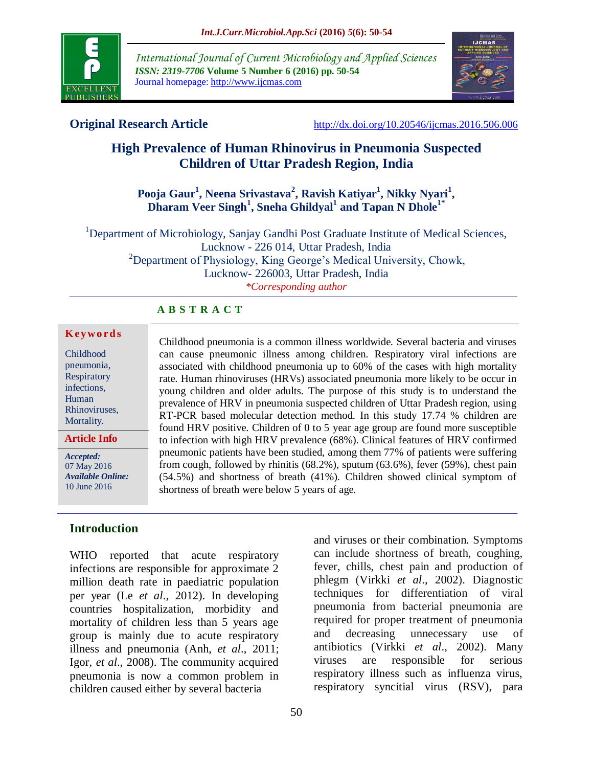

*International Journal of Current Microbiology and Applied Sciences ISSN: 2319-7706* **Volume 5 Number 6 (2016) pp. 50-54** Journal homepage: http://www.ijcmas.com



**Original Research Article** <http://dx.doi.org/10.20546/ijcmas.2016.506.006>

# **High Prevalence of Human Rhinovirus in Pneumonia Suspected Children of Uttar Pradesh Region, India**

## **Pooja Gaur<sup>1</sup> , Neena Srivastava<sup>2</sup> , Ravish Katiyar<sup>1</sup> , Nikky Nyari<sup>1</sup> , Dharam Veer Singh<sup>1</sup> , Sneha Ghildyal<sup>1</sup> and Tapan N Dhole1\***

<sup>1</sup>Department of Microbiology, Sanjay Gandhi Post Graduate Institute of Medical Sciences, Lucknow - 226 014, Uttar Pradesh, India <sup>2</sup>Department of Physiology, King George's Medical University, Chowk, Lucknow- 226003, Uttar Pradesh, India *\*Corresponding author*

#### **A B S T R A C T**

#### **K ey w o rd s**

Childhood pneumonia, Respiratory infections, Human Rhinoviruses, Mortality.

**Article Info**

*Accepted:*  07 May 2016 *Available Online:* 10 June 2016

#### **Introduction**

WHO reported that acute respiratory infections are responsible for approximate 2 million death rate in paediatric population per year (Le *et al*., 2012). In developing countries hospitalization, morbidity and mortality of children less than 5 years age group is mainly due to acute respiratory illness and pneumonia (Anh, *et al*., 2011; Igor, *et al*., 2008). The community acquired pneumonia is now a common problem in children caused either by several bacteria

Childhood pneumonia is a common illness worldwide. Several bacteria and viruses can cause pneumonic illness among children. Respiratory viral infections are associated with childhood pneumonia up to 60% of the cases with high mortality rate. Human rhinoviruses (HRVs) associated pneumonia more likely to be occur in young children and older adults. The purpose of this study is to understand the prevalence of HRV in pneumonia suspected children of Uttar Pradesh region, using RT-PCR based molecular detection method. In this study 17.74 % children are found HRV positive. Children of 0 to 5 year age group are found more susceptible to infection with high HRV prevalence (68%). Clinical features of HRV confirmed pneumonic patients have been studied, among them 77% of patients were suffering from cough, followed by rhinitis (68.2%), sputum (63.6%), fever (59%), chest pain (54.5%) and shortness of breath (41%). Children showed clinical symptom of shortness of breath were below 5 years of age.

> and viruses or their combination. Symptoms can include shortness of breath, coughing, fever, chills, chest pain and production of phlegm (Virkki *et al*., 2002). Diagnostic techniques for differentiation of viral pneumonia from bacterial pneumonia are required for proper treatment of pneumonia and decreasing unnecessary use of antibiotics (Virkki *et al*., 2002). Many viruses are responsible for serious respiratory illness such as influenza virus, respiratory syncitial virus (RSV), para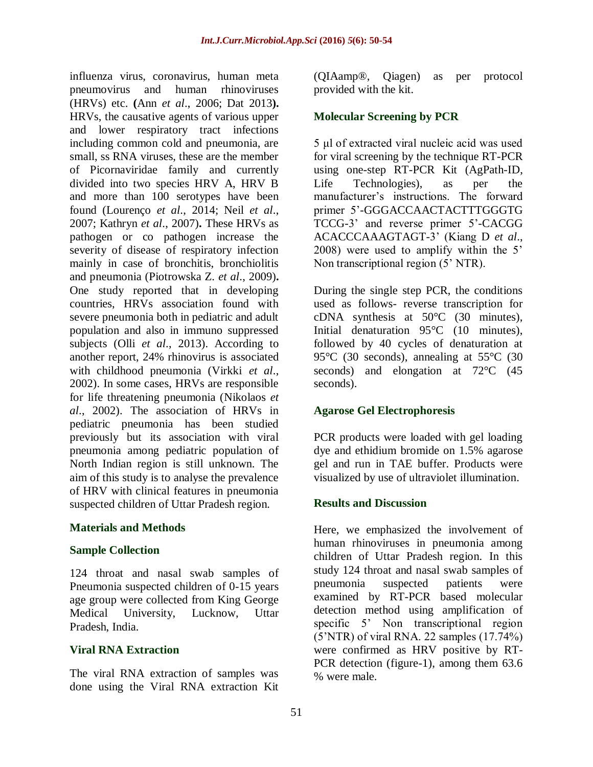influenza virus, coronavirus, human meta pneumovirus and human rhinoviruses (HRVs) etc. **(**Ann *et al*., 2006; Dat 2013**).** HRVs, the causative agents of various upper and lower respiratory tract infections including common cold and pneumonia, are small, ss RNA viruses, these are the member of Picornaviridae family and currently divided into two species HRV A, HRV B and more than 100 serotypes have been found (Lourenço *et al*., 2014; Neil *et al*., 2007; Kathryn *et al*., 2007)**.** These HRVs as pathogen or co pathogen increase the severity of disease of respiratory infection mainly in case of bronchitis, bronchiolitis and pneumonia (Piotrowska Z. *et al*., 2009)**.** One study reported that in developing countries, HRVs association found with severe pneumonia both in pediatric and adult population and also in immuno suppressed subjects (Olli *et al*., 2013). According to another report, 24% rhinovirus is associated with childhood pneumonia (Virkki *et al*., 2002). In some cases, HRVs are responsible for life threatening pneumonia (Nikolaos *et al*., 2002). The association of HRVs in pediatric pneumonia has been studied previously but its association with viral pneumonia among pediatric population of North Indian region is still unknown. The aim of this study is to analyse the prevalence of HRV with clinical features in pneumonia suspected children of Uttar Pradesh region.

## **Materials and Methods**

#### **Sample Collection**

124 throat and nasal swab samples of Pneumonia suspected children of 0-15 years age group were collected from King George Medical University, Lucknow, Uttar Pradesh, India.

## **Viral RNA Extraction**

The viral RNA extraction of samples was done using the Viral RNA extraction Kit (QIAamp®, Qiagen) as per protocol provided with the kit.

#### **Molecular Screening by PCR**

5 μl of extracted viral nucleic acid was used for viral screening by the technique RT-PCR using one-step RT-PCR Kit (AgPath-ID, Life Technologies), as per the manufacturer's instructions. The forward primer 5'-GGGACCAACTACTTTGGGTG TCCG-3' and reverse primer 5'-CACGG ACACCCAAAGTAGT-3' (Kiang D *et al*., 2008) were used to amplify within the 5' Non transcriptional region (5' NTR).

During the single step PCR, the conditions used as follows- reverse transcription for cDNA synthesis at 50°C (30 minutes), Initial denaturation 95°C (10 minutes), followed by 40 cycles of denaturation at 95°C (30 seconds), annealing at 55°C (30 seconds) and elongation at 72<sup>o</sup>C (45 seconds).

## **Agarose Gel Electrophoresis**

PCR products were loaded with gel loading dye and ethidium bromide on 1.5% agarose gel and run in TAE buffer. Products were visualized by use of ultraviolet illumination.

## **Results and Discussion**

Here, we emphasized the involvement of human rhinoviruses in pneumonia among children of Uttar Pradesh region. In this study 124 throat and nasal swab samples of pneumonia suspected patients were examined by RT-PCR based molecular detection method using amplification of specific 5' Non transcriptional region (5'NTR) of viral RNA. 22 samples (17.74%) were confirmed as HRV positive by RT-PCR detection (figure-1), among them 63.6 % were male.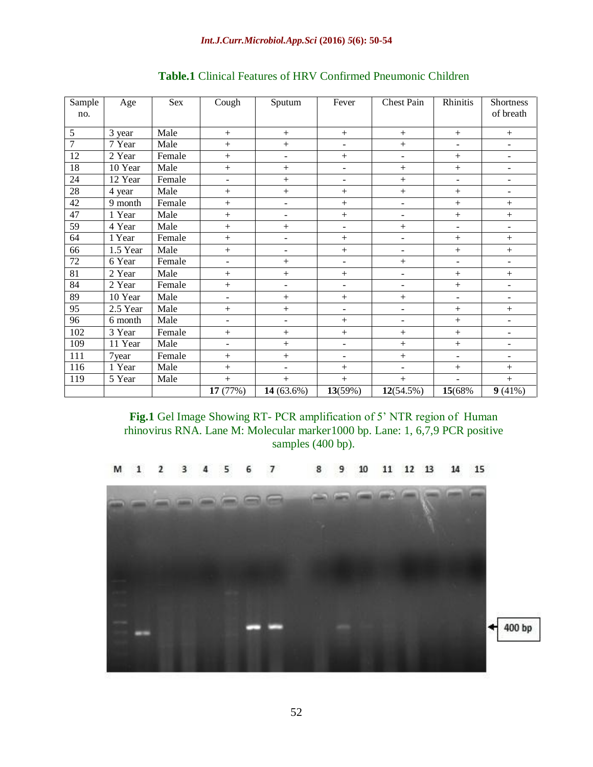| Sample<br>no.   | Age      | Sex    | Cough          | Sputum                   | Fever                    | <b>Chest Pain</b>        | Rhinitis                     | Shortness<br>of breath       |
|-----------------|----------|--------|----------------|--------------------------|--------------------------|--------------------------|------------------------------|------------------------------|
| 5               | 3 year   | Male   |                | $+$                      | $\! +$                   | $+$                      | $\boldsymbol{+}$             | $^{+}$                       |
| $\overline{7}$  | 7 Year   | Male   | $^{+}$         | $\ddot{}$                | $\blacksquare$           | $\ddot{}$                | $\blacksquare$               | $\overline{\phantom{a}}$     |
| 12              | 2 Year   | Female | $+$            | ÷,                       | $^{+}$                   | ÷,                       | $+$                          | $\overline{\phantom{a}}$     |
| 18              | 10 Year  | Male   | $+$            | $+$                      | $\overline{\phantom{a}}$ | $+$                      | $+$                          | $\overline{\phantom{a}}$     |
| 24              | 12 Year  | Female | $\blacksquare$ | $+$                      | $\overline{\phantom{a}}$ | $+$                      | $\overline{\phantom{0}}$     | $\overline{\phantom{a}}$     |
| $\overline{28}$ | 4 year   | Male   | $+$            | $+$                      | $^{+}$                   | $+$                      | $+$                          | ۰                            |
| 42              | 9 month  | Female | $^{+}$         | $\overline{\phantom{a}}$ | $^{+}$                   | $\overline{\phantom{a}}$ | $+$                          | $^{+}$                       |
| 47              | 1 Year   | Male   | $^{+}$         | ÷,                       | $\! +$                   | $\blacksquare$           | $+$                          | $\! +$                       |
| 59              | 4 Year   | Male   | $^{+}$         | $+$                      | $\blacksquare$           | $^{+}$                   | $\blacksquare$               | $\overline{\phantom{a}}$     |
| 64              | 1 Year   | Female | $^{+}$         | ÷,                       | $^{+}$                   | $\blacksquare$           | $^{+}$                       | $^{+}$                       |
| 66              | 1.5 Year | Male   | $^{+}$         | $\overline{\phantom{0}}$ | $^{+}$                   | $\overline{\phantom{a}}$ | $+$                          | $^{+}$                       |
| 72              | 6 Year   | Female | $\blacksquare$ | $+$                      | $\overline{\phantom{a}}$ | $+$                      | $\overline{\phantom{a}}$     | $\overline{\phantom{a}}$     |
| 81              | 2 Year   | Male   | $^{+}$         | $+$                      | $^{+}$                   | $\overline{\phantom{a}}$ | $+$                          | $^{+}$                       |
| 84              | 2 Year   | Female | $^{+}$         | ÷,                       | $\overline{\phantom{a}}$ | $\overline{\phantom{a}}$ | $+$                          | $\overline{\phantom{a}}$     |
| 89              | 10 Year  | Male   |                | $^{+}$                   | $^{+}$                   | $+$                      | $\qquad \qquad \blacksquare$ | $\qquad \qquad \blacksquare$ |
| 95              | 2.5 Year | Male   |                | $\qquad \qquad +$        | -                        | $\blacksquare$           | $+$                          | $\! +$                       |
| 96              | 6 month  | Male   | $\blacksquare$ | $\overline{\phantom{a}}$ | $^{+}$                   | $\blacksquare$           | $+$                          | $\frac{1}{2}$                |
| 102             | 3 Year   | Female | $^{+}$         | $^{+}$                   | $^{+}$                   | $+$                      | $+$                          | $\overline{\phantom{a}}$     |
| 109             | 11 Year  | Male   |                | $+$                      | $\overline{\phantom{0}}$ | $^{+}$                   | $+$                          | $\overline{\phantom{a}}$     |
| 111             | 7year    | Female | $+$            | $+$                      | $\overline{\phantom{a}}$ | $+$                      | $\overline{\phantom{a}}$     | $\overline{\phantom{a}}$     |
| 116             | 1 Year   | Male   | $^{+}$         | ÷                        | $^{+}$                   | $\overline{a}$           | $+$                          | $^{+}$                       |
| 119             | 5 Year   | Male   | $+$            | $+$                      | $^{+}$                   | $+$                      | $\overline{\phantom{a}}$     | $^{+}$                       |
|                 |          |        | 17 (77%)       | 14 (63.6%)               | 13(59%)                  | $12(54.5\%)$             | 15(68%)                      | 9(41%)                       |

## **Table.1** Clinical Features of HRV Confirmed Pneumonic Children

**Fig.1** Gel Image Showing RT- PCR amplification of 5' NTR region of Human rhinovirus RNA. Lane M: Molecular marker1000 bp. Lane: 1, 6,7,9 PCR positive samples (400 bp).

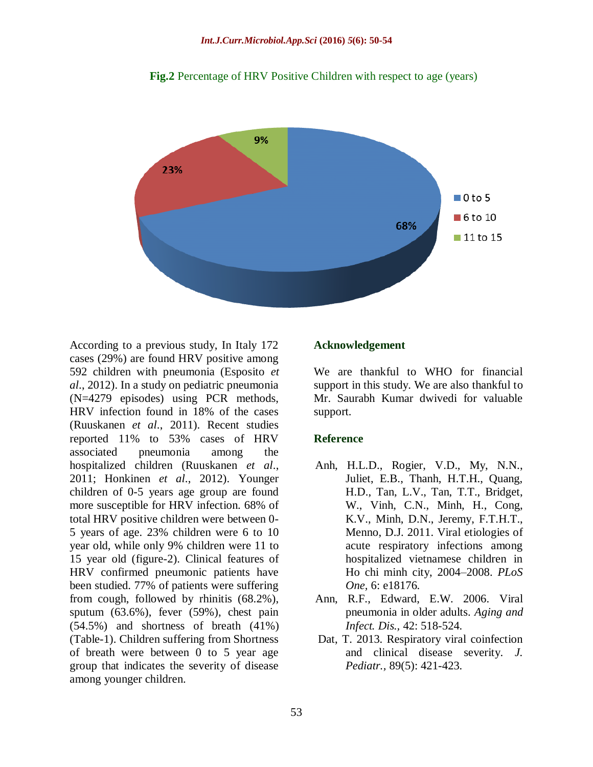

**Fig.2** Percentage of HRV Positive Children with respect to age (years)

According to a previous study, In Italy 172 cases (29%) are found HRV positive among 592 children with pneumonia (Esposito *et al*., 2012). In a study on pediatric pneumonia (N=4279 episodes) using PCR methods, HRV infection found in 18% of the cases (Ruuskanen *et al*., 2011). Recent studies reported 11% to 53% cases of HRV associated pneumonia among the hospitalized children (Ruuskanen *et al*., 2011; Honkinen *et al*., 2012). Younger children of 0-5 years age group are found more susceptible for HRV infection. 68% of total HRV positive children were between 0- 5 years of age. 23% children were 6 to 10 year old, while only 9% children were 11 to 15 year old (figure-2). Clinical features of HRV confirmed pneumonic patients have been studied. 77% of patients were suffering from cough, followed by rhinitis (68.2%), sputum (63.6%), fever (59%), chest pain (54.5%) and shortness of breath (41%) (Table-1). Children suffering from Shortness of breath were between 0 to 5 year age group that indicates the severity of disease among younger children.

#### **Acknowledgement**

We are thankful to WHO for financial support in this study. We are also thankful to Mr. Saurabh Kumar dwivedi for valuable support.

#### **Reference**

- Anh, H.L.D., Rogier, V.D., My, N.N., Juliet, E.B., Thanh, H.T.H., Quang, H.D., Tan, L.V., Tan, T.T., Bridget, W., Vinh, C.N., Minh, H., Cong, K.V., Minh, D.N., Jeremy, F.T.H.T., Menno, D.J. 2011. Viral etiologies of acute respiratory infections among hospitalized vietnamese children in Ho chi minh city, 2004–2008. *PLoS One,* 6: e18176.
- Ann, R.F., Edward, E.W. 2006. Viral pneumonia in older adults. *Aging and Infect. Dis.,* 42: 518-524.
- Dat, T. 2013. Respiratory viral coinfection and clinical disease severity. *J. Pediatr.,* 89(5): 421-423.